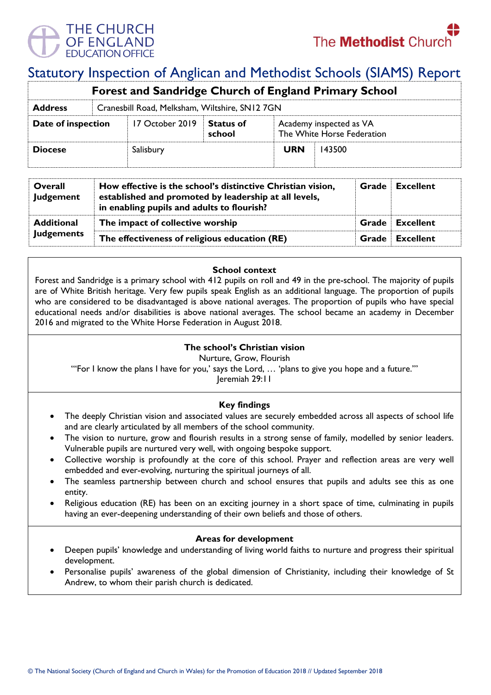

# Statutory Inspection of Anglican and Methodist Schools (SIAMS) Report

| <b>Forest and Sandridge Church of England Primary School</b> |  |                                                |                            |                                                       |        |  |  |
|--------------------------------------------------------------|--|------------------------------------------------|----------------------------|-------------------------------------------------------|--------|--|--|
| <b>Address</b>                                               |  | Cranesbill Road, Melksham, Wiltshire, SN12 7GN |                            |                                                       |        |  |  |
| Date of inspection                                           |  | 17 October 2019                                | <b>Status of</b><br>school | Academy inspected as VA<br>The White Horse Federation |        |  |  |
| <b>Diocese</b>                                               |  | Salisbury                                      |                            | <b>URN</b>                                            | 143500 |  |  |

| Overall<br><b>Judgement</b> | How effective is the school's distinctive Christian vision,<br>established and promoted by leadership at all levels,<br>in enabling pupils and adults to flourish? |  | <b>Grade</b> Excellent |
|-----------------------------|--------------------------------------------------------------------------------------------------------------------------------------------------------------------|--|------------------------|
| <b>Additional</b>           | The impact of collective worship                                                                                                                                   |  | <b>Grade</b> Excellent |
| <b>Judgements</b>           | The effectiveness of religious education (RE)                                                                                                                      |  | Grade Excellent        |

### **School context**

Forest and Sandridge is a primary school with 412 pupils on roll and 49 in the pre-school. The majority of pupils are of White British heritage. Very few pupils speak English as an additional language. The proportion of pupils who are considered to be disadvantaged is above national averages. The proportion of pupils who have special educational needs and/or disabilities is above national averages. The school became an academy in December 2016 and migrated to the White Horse Federation in August 2018.

## **The school's Christian vision**

Nurture, Grow, Flourish

"'For I know the plans I have for you,' says the Lord, … 'plans to give you hope and a future.'"

Jeremiah 29:11

## **Key findings**

- The deeply Christian vision and associated values are securely embedded across all aspects of school life and are clearly articulated by all members of the school community.
- The vision to nurture, grow and flourish results in a strong sense of family, modelled by senior leaders. Vulnerable pupils are nurtured very well, with ongoing bespoke support.
- Collective worship is profoundly at the core of this school. Prayer and reflection areas are very well embedded and ever-evolving, nurturing the spiritual journeys of all.
- The seamless partnership between church and school ensures that pupils and adults see this as one entity.
- Religious education (RE) has been on an exciting journey in a short space of time, culminating in pupils having an ever-deepening understanding of their own beliefs and those of others.

## **Areas for development**

- Deepen pupils' knowledge and understanding of living world faiths to nurture and progress their spiritual development.
- Personalise pupils' awareness of the global dimension of Christianity, including their knowledge of St Andrew, to whom their parish church is dedicated.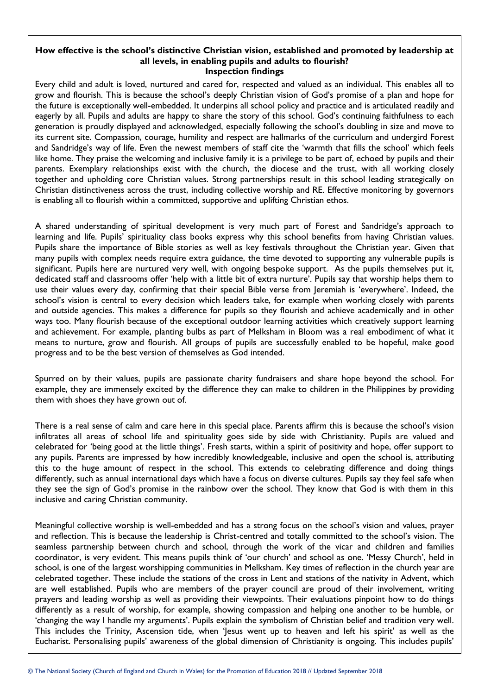#### **How effective is the school's distinctive Christian vision, established and promoted by leadership at all levels, in enabling pupils and adults to flourish? Inspection findings**

Every child and adult is loved, nurtured and cared for, respected and valued as an individual. This enables all to grow and flourish. This is because the school's deeply Christian vision of God's promise of a plan and hope for the future is exceptionally well-embedded. It underpins all school policy and practice and is articulated readily and eagerly by all. Pupils and adults are happy to share the story of this school. God's continuing faithfulness to each generation is proudly displayed and acknowledged, especially following the school's doubling in size and move to its current site. Compassion, courage, humility and respect are hallmarks of the curriculum and undergird Forest and Sandridge's way of life. Even the newest members of staff cite the 'warmth that fills the school' which feels like home. They praise the welcoming and inclusive family it is a privilege to be part of, echoed by pupils and their parents. Exemplary relationships exist with the church, the diocese and the trust, with all working closely together and upholding core Christian values. Strong partnerships result in this school leading strategically on Christian distinctiveness across the trust, including collective worship and RE. Effective monitoring by governors is enabling all to flourish within a committed, supportive and uplifting Christian ethos.

A shared understanding of spiritual development is very much part of Forest and Sandridge's approach to learning and life. Pupils' spirituality class books express why this school benefits from having Christian values. Pupils share the importance of Bible stories as well as key festivals throughout the Christian year. Given that many pupils with complex needs require extra guidance, the time devoted to supporting any vulnerable pupils is significant. Pupils here are nurtured very well, with ongoing bespoke support. As the pupils themselves put it, dedicated staff and classrooms offer 'help with a little bit of extra nurture'. Pupils say that worship helps them to use their values every day, confirming that their special Bible verse from Jeremiah is 'everywhere'. Indeed, the school's vision is central to every decision which leaders take, for example when working closely with parents and outside agencies. This makes a difference for pupils so they flourish and achieve academically and in other ways too. Many flourish because of the exceptional outdoor learning activities which creatively support learning and achievement. For example, planting bulbs as part of Melksham in Bloom was a real embodiment of what it means to nurture, grow and flourish. All groups of pupils are successfully enabled to be hopeful, make good progress and to be the best version of themselves as God intended.

Spurred on by their values, pupils are passionate charity fundraisers and share hope beyond the school. For example, they are immensely excited by the difference they can make to children in the Philippines by providing them with shoes they have grown out of.

There is a real sense of calm and care here in this special place. Parents affirm this is because the school's vision infiltrates all areas of school life and spirituality goes side by side with Christianity. Pupils are valued and celebrated for 'being good at the little things'. Fresh starts, within a spirit of positivity and hope, offer support to any pupils. Parents are impressed by how incredibly knowledgeable, inclusive and open the school is, attributing this to the huge amount of respect in the school. This extends to celebrating difference and doing things differently, such as annual international days which have a focus on diverse cultures. Pupils say they feel safe when they see the sign of God's promise in the rainbow over the school. They know that God is with them in this inclusive and caring Christian community.

Meaningful collective worship is well-embedded and has a strong focus on the school's vision and values, prayer and reflection. This is because the leadership is Christ-centred and totally committed to the school's vision. The seamless partnership between church and school, through the work of the vicar and children and families coordinator, is very evident. This means pupils think of 'our church' and school as one. 'Messy Church', held in school, is one of the largest worshipping communities in Melksham. Key times of reflection in the church year are celebrated together. These include the stations of the cross in Lent and stations of the nativity in Advent, which are well established. Pupils who are members of the prayer council are proud of their involvement, writing prayers and leading worship as well as providing their viewpoints. Their evaluations pinpoint how to do things differently as a result of worship, for example, showing compassion and helping one another to be humble, or 'changing the way I handle my arguments'. Pupils explain the symbolism of Christian belief and tradition very well. This includes the Trinity, Ascension tide, when 'Jesus went up to heaven and left his spirit' as well as the Eucharist. Personalising pupils' awareness of the global dimension of Christianity is ongoing. This includes pupils'